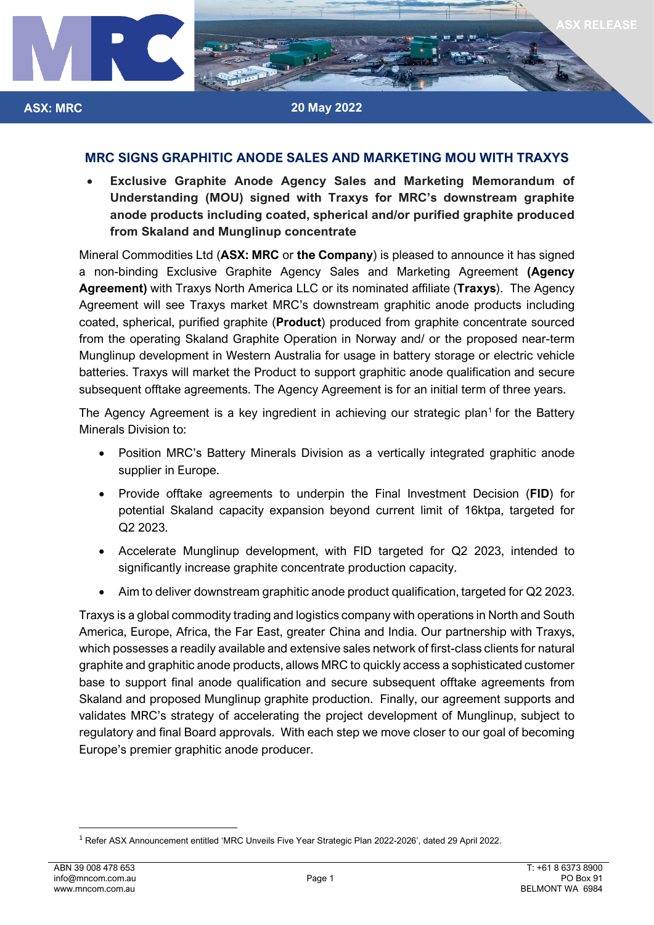

## **MRC SIGNS GRAPHITIC ANODE SALES AND MARKETING MOU WITH TRAXYS**

• **Exclusive Graphite Anode Agency Sales and Marketing Memorandum of Understanding (MOU) signed with Traxys for MRC's downstream graphite anode products including coated, spherical and/or purified graphite produced from Skaland and Munglinup concentrate** 

Mineral Commodities Ltd (**ASX: MRC** or **the Company**) is pleased to announce it has signed a non-binding Exclusive Graphite Agency Sales and Marketing Agreement **(Agency Agreement)** with Traxys North America LLC or its nominated affiliate (**Traxys**). The Agency Agreement will see Traxys market MRC's downstream graphitic anode products including coated, spherical, purified graphite (**Product**) produced from graphite concentrate sourced from the operating Skaland Graphite Operation in Norway and/ or the proposed near-term Munglinup development in Western Australia for usage in battery storage or electric vehicle batteries. Traxys will market the Product to support graphitic anode qualification and secure subsequent offtake agreements. The Agency Agreement is for an initial term of three years.

The Agency Agreement is a key ingredient in achieving our strategic plan<sup>[1](#page-0-0)</sup> for the Battery Minerals Division to:

- Position MRC's Battery Minerals Division as a vertically integrated graphitic anode supplier in Europe.
- Provide offtake agreements to underpin the Final Investment Decision (**FID**) for potential Skaland capacity expansion beyond current limit of 16ktpa, targeted for Q2 2023.
- Accelerate Munglinup development, with FID targeted for Q2 2023, intended to significantly increase graphite concentrate production capacity.
- Aim to deliver downstream graphitic anode product qualification, targeted for Q2 2023.

Traxys is a global commodity trading and logistics company with operations in North and South America, Europe, Africa, the Far East, greater China and India. Our partnership with Traxys, which possesses a readily available and extensive sales network of first-class clients for natural graphite and graphitic anode products, allows MRC to quickly access a sophisticated customer base to support final anode qualification and secure subsequent offtake agreements from Skaland and proposed Munglinup graphite production. Finally, our agreement supports and validates MRC's strategy of accelerating the project development of Munglinup, subject to regulatory and final Board approvals. With each step we move closer to our goal of becoming Europe's premier graphitic anode producer.

**ASX: MRC**

<span id="page-0-0"></span><sup>1</sup> Refer ASX Announcement entitled ['MRC Unveils Five Year Strategic Plan 2022-2026',](https://www.mineralcommodities.com/wp-content/uploads/2022/04/20220429-MRC-Unveils-Five-Year-Strategic-Plan-2022-2026.pdf) dated 29 April 2022.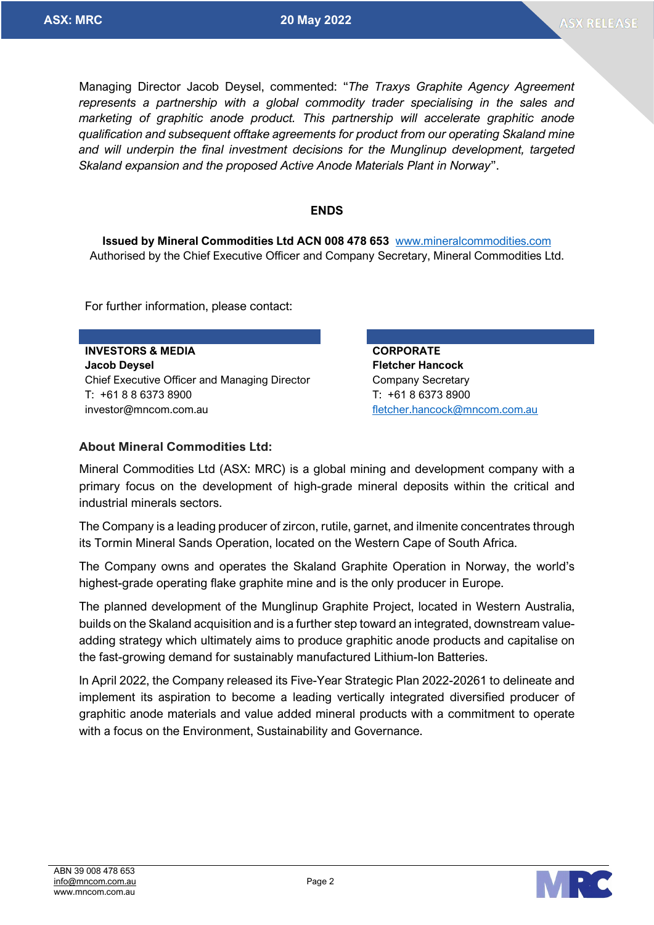Managing Director Jacob Deysel, commented: "*The Traxys Graphite Agency Agreement represents a partnership with a global commodity trader specialising in the sales and marketing of graphitic anode product. This partnership will accelerate graphitic anode qualification and subsequent offtake agreements for product from our operating Skaland mine and will underpin the final investment decisions for the Munglinup development, targeted Skaland expansion and the proposed Active Anode Materials Plant in Norway*".

## **ENDS**

**Issued by Mineral Commodities Ltd ACN 008 478 653** [www.mineralcommodities.com](http://www.mineralcommodities.com/) Authorised by the Chief Executive Officer and Company Secretary, Mineral Commodities Ltd.

For further information, please contact:

**INVESTORS & MEDIA CORPORATE Jacob Deysel Fletcher Hancock** Chief Executive Officer and Managing Director Company Secretary T: +61 8 8 6373 8900 T: +61 8 6373 8900 investor@mncom.com.au [fletcher.hancock@mncom.com.au](mailto:fletcher.hancock@mncom.com.au) fletcher.hancock@mncom.com.au

## **About Mineral Commodities Ltd:**

Mineral Commodities Ltd (ASX: MRC) is a global mining and development company with a primary focus on the development of high-grade mineral deposits within the critical and industrial minerals sectors.

The Company is a leading producer of zircon, rutile, garnet, and ilmenite concentrates through its Tormin Mineral Sands Operation, located on the Western Cape of South Africa.

The Company owns and operates the Skaland Graphite Operation in Norway, the world's highest-grade operating flake graphite mine and is the only producer in Europe.

The planned development of the Munglinup Graphite Project, located in Western Australia, builds on the Skaland acquisition and is a further step toward an integrated, downstream valueadding strategy which ultimately aims to produce graphitic anode products and capitalise on the fast-growing demand for sustainably manufactured Lithium-Ion Batteries.

In April 2022, the Company released its Five-Year Strategic Plan 2022-20261 to delineate and implement its aspiration to become a leading vertically integrated diversified producer of graphitic anode materials and value added mineral products with a commitment to operate with a focus on the Environment, Sustainability and Governance.